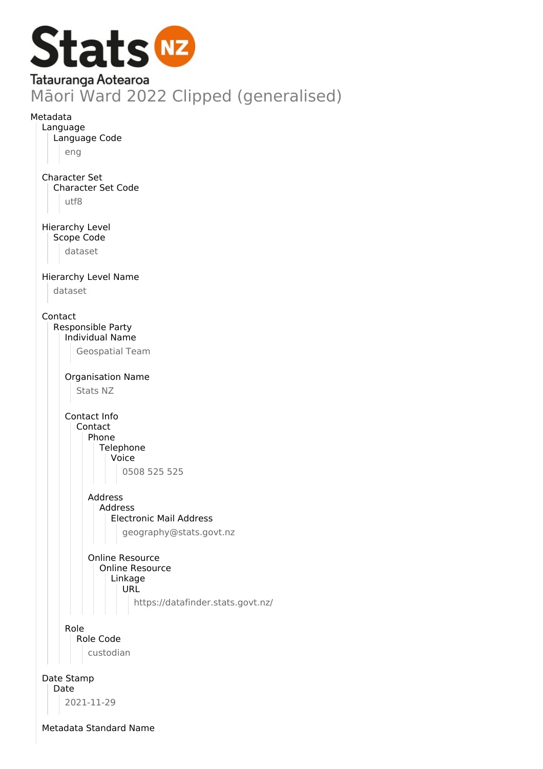

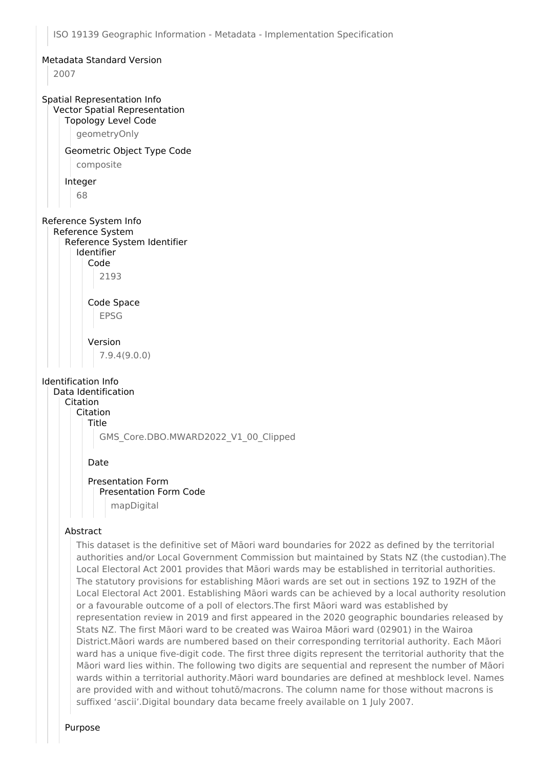## Metadata Standard Version 2007 Spatial Representation Info Vector Spatial Representation Topology Level Code geometryOnly Geometric Object Type Code composite Integer 68 Reference System Info Reference System Reference System Identifier Identifier Code 2193 Code Space EPSG Version 7.9.4(9.0.0) Identification Info Data Identification Citation Citation Title GMS\_Core.DBO.MWARD2022\_V1\_00\_Clipped Date Presentation Form Presentation Form Code mapDigital Abstract

This dataset is the definitive set of Māori ward boundaries for 2022 as defined by the territorial authorities and/or Local Government Commission but maintained by Stats NZ (the custodian).The Local Electoral Act 2001 provides that Māori wards may be established in territorial authorities. The statutory provisions for establishing Māori wards are set out in sections 19Z to 19ZH of the Local Electoral Act 2001. Establishing Māori wards can be achieved by a local authority resolution or a favourable outcome of a poll of electors.The first Māori ward was established by representation review in 2019 and first appeared in the 2020 geographic boundaries released by Stats NZ. The first Māori ward to be created was Wairoa Māori ward (02901) in the Wairoa District.Māori wards are numbered based on their corresponding territorial authority. Each Māori ward has a unique five-digit code. The first three digits represent the territorial authority that the Māori ward lies within. The following two digits are sequential and represent the number of Māori wards within a territorial authority.Māori ward boundaries are defined at meshblock level. Names are provided with and without tohutō/macrons. The column name for those without macrons is suffixed 'ascii'.Digital boundary data became freely available on 1 July 2007.

Purpose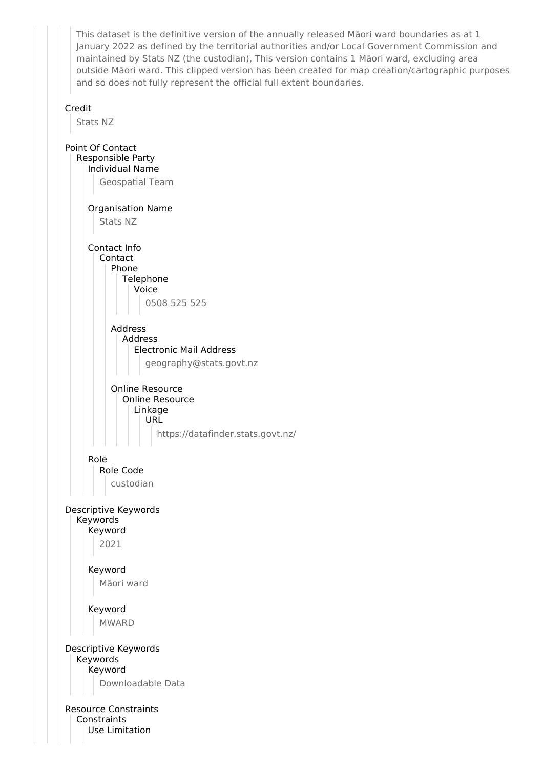